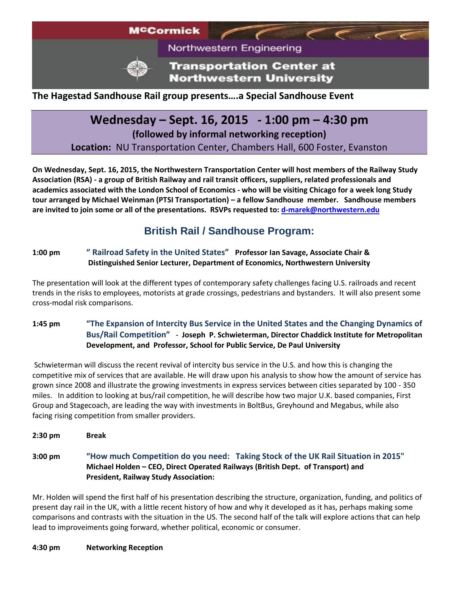

Northwestern Engineering

**Transportation Center at Northwestern University** 

### **The Hagestad Sandhouse Rail group presents….a Special Sandhouse Event**

# **Wednesday – Sept. 16, 2015 - 1:00 pm – 4:30 pm**

**(followed by informal networking reception)**

**Location:** NU Transportation Center, Chambers Hall, 600 Foster, Evanston

**On Wednesday, Sept. 16, 2015, the Northwestern Transportation Center will host members of the Railway Study Association (RSA) - a group of British Railway and rail transit officers, suppliers, related professionals and academics associated with the London School of Economics - who will be visiting Chicago for a week long Study tour arranged by Michael Weinman (PTSI Transportation) – a fellow Sandhouse member. Sandhouse members are invited to join some or all of the presentations. RSVPs requested to: [d-marek@northwestern.edu](mailto:d-marek@northwestern.edu)**

## **British Rail / Sandhouse Program:**

#### **1:00 pm " Railroad Safety in the United States" Professor Ian Savage, Associate Chair & Distinguished Senior Lecturer, Department of Economics, Northwestern University**

The presentation will look at the different types of contemporary safety challenges facing U.S. railroads and recent trends in the risks to employees, motorists at grade crossings, pedestrians and bystanders. It will also present some cross-modal risk comparisons.

#### **1:45 pm "The Expansion of Intercity Bus Service in the United States and the Changing Dynamics of Bus/Rail Competition" - Joseph P. Schwieterman, Director Chaddick Institute for Metropolitan Development, and Professor, School for Public Service, De Paul University**

Schwieterman will discuss the recent revival of intercity bus service in the U.S. and how this is changing the competitive mix of services that are available. He will draw upon his analysis to show how the amount of service has grown since 2008 and illustrate the growing investments in express services between cities separated by 100 - 350 miles. In addition to looking at bus/rail competition, he will describe how two major U.K. based companies, First Group and Stagecoach, are leading the way with investments in BoltBus, Greyhound and Megabus, while also facing rising competition from smaller providers.

**2:30 pm Break**

**3:00 pm "How much Competition do you need: Taking Stock of the UK Rail Situation in 2015" Michael Holden – CEO, Direct Operated Railways (British Dept. of Transport) and President, Railway Study Association:** 

Mr. Holden will spend the first half of his presentation describing the structure, organization, funding, and politics of present day rail in the UK, with a little recent history of how and why it developed as it has, perhaps making some comparisons and contrasts with the situation in the US. The second half of the talk will explore actions that can help lead to improveiments going forward, whether political, economic or consumer.